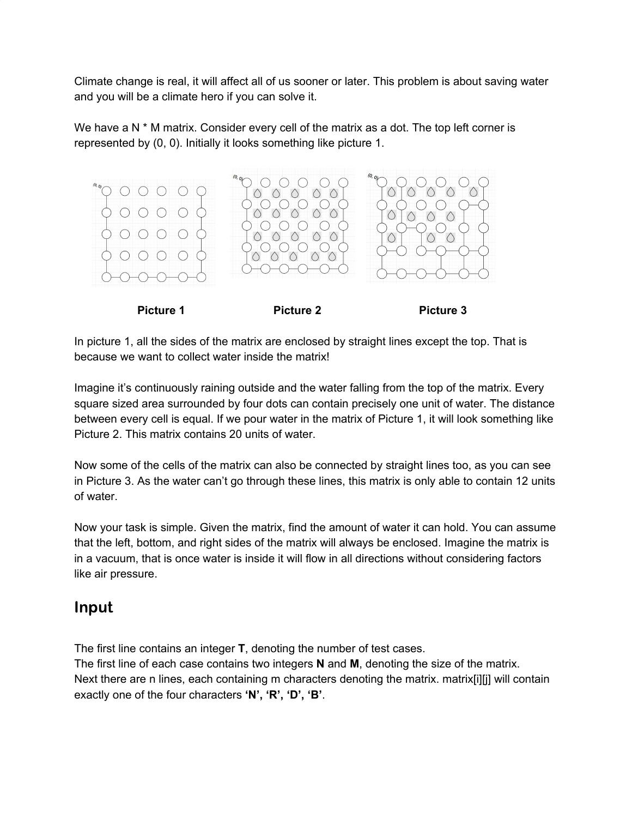Climate change is real, it will affect all of us sooner or later. This problem is about saving water and you will be a climate hero if you can solve it.

We have a N  $*$  M matrix. Consider every cell of the matrix as a dot. The top left corner is represented by (0, 0). Initially it looks something like picture 1.





In picture 1, all the sides of the matrix are enclosed by straight lines except the top. That is because we want to collect water inside the matrix!

Imagine it's continuously raining outside and the water falling from the top of the matrix. Every square sized area surrounded by four dots can contain precisely one unit of water. The distance between every cell is equal. If we pour water in the matrix of Picture 1, it will look something like Picture 2. This matrix contains 20 units of water.

Now some of the cells of the matrix can also be connected by straight lines too, as you can see in Picture 3. As the water can't go through these lines, this matrix is only able to contain 12 units of water.

Now your task is simple. Given the matrix, find the amount of water it can hold. You can assume that the left, bottom, and right sides of the matrix will always be enclosed. Imagine the matrix is in a vacuum, that is once water is inside it will flow in all directions without considering factors like air pressure.

### Input

The first line contains an integer **T**, denoting the number of test cases.

The first line of each case contains two integers **N** and **M**, denoting the size of the matrix. Next there are n lines, each containing m characters denoting the matrix. matrix[i][i] will contain exactly one of the four characters **'N', 'R', 'D', 'B'**.